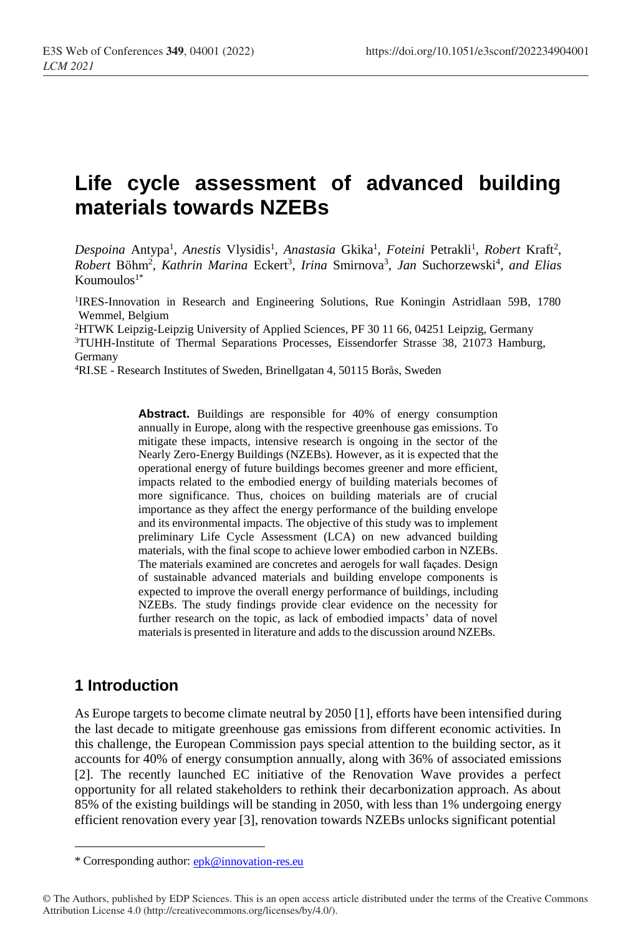# **Life cycle assessment of advanced building materials towards NZEBs**

Despoina Antypa<sup>1</sup>, *Anestis* Vlysidis<sup>1</sup>, *Anastasia Gkika<sup>1</sup>, Foteini* Petrakli<sup>1</sup>, *Robert Kraft<sup>2</sup>*, Robert Böhm<sup>2</sup>, Kathrin Marina Eckert<sup>3</sup>, Irina Smirnova<sup>3</sup>, Jan Suchorzewski<sup>4</sup>, and Elias Koumoulos $1^*$ 

1 IRES-Innovation in Research and Engineering Solutions, Rue Koningin Astridlaan 59B, 1780 Wemmel, Belgium

<sup>2</sup>HTWK Leipzig-Leipzig University of Applied Sciences, PF 30 11 66, 04251 Leipzig, Germany

<sup>3</sup>TUHH-Institute of Thermal Separations Processes, Eissendorfer Strasse 38, 21073 Hamburg, Germany

<sup>4</sup>RI.SE - Research Institutes of Sweden, Brinellgatan 4, 50115 Borås, Sweden

**Abstract.** Buildings are responsible for 40% of energy consumption annually in Europe, along with the respective greenhouse gas emissions. To mitigate these impacts, intensive research is ongoing in the sector of the Nearly Zero-Energy Buildings (NZEBs). However, as it is expected that the operational energy of future buildings becomes greener and more efficient, impacts related to the embodied energy of building materials becomes of more significance. Thus, choices on building materials are of crucial importance as they affect the energy performance of the building envelope and its environmental impacts. The objective of this study was to implement preliminary Life Cycle Assessment (LCA) on new advanced building materials, with the final scope to achieve lower embodied carbon in NZEBs. The materials examined are concretes and aerogels for wall façades. Design of sustainable advanced materials and building envelope components is expected to improve the overall energy performance of buildings, including NZEBs. The study findings provide clear evidence on the necessity for further research on the topic, as lack of embodied impacts' data of novel materials is presented in literature and adds to the discussion around NZEBs.

# **1 Introduction**

As Europe targets to become climate neutral by 2050 [1], efforts have been intensified during the last decade to mitigate greenhouse gas emissions from different economic activities. In this challenge, the European Commission pays special attention to the building sector, as it accounts for 40% of energy consumption annually, along with 36% of associated emissions [2]. The recently launched EC initiative of the Renovation Wave provides a perfect opportunity for all related stakeholders to rethink their decarbonization approach. As about 85% of the existing buildings will be standing in 2050, with less than 1% undergoing energy efficient renovation every year [3], renovation towards NZEBs unlocks significant potential

<sup>\*</sup> Corresponding author: [epk@innovation-res.eu](mailto:epk@innovation-res.eu)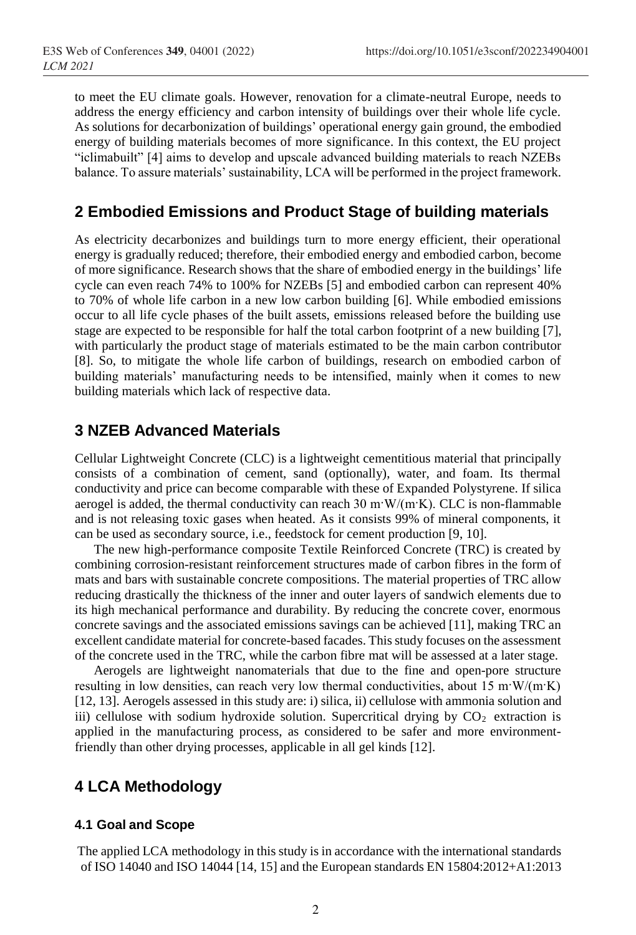to meet the EU climate goals. However, renovation for a climate-neutral Europe, needs to address the energy efficiency and carbon intensity of buildings over their whole life cycle. As solutions for decarbonization of buildings' operational energy gain ground, the embodied energy of building materials becomes of more significance. In this context, the EU project "iclimabuilt" [4] aims to develop and upscale advanced building materials to reach NZEBs balance. To assure materials' sustainability, LCA will be performed in the project framework.

# **2 Embodied Emissions and Product Stage of building materials**

As electricity decarbonizes and buildings turn to more energy efficient, their operational energy is gradually reduced; therefore, their embodied energy and embodied carbon, become of more significance. Research shows that the share of embodied energy in the buildings' life cycle can even reach 74% to 100% for NZEBs [5] and embodied carbon can represent 40% to 70% of whole life carbon in a new low carbon building [6]. While embodied emissions occur to all life cycle phases of the built assets, emissions released before the building use stage are expected to be responsible for half the total carbon footprint of a new building [7], with particularly the product stage of materials estimated to be the main carbon contributor [8]. So, to mitigate the whole life carbon of buildings, research on embodied carbon of building materials' manufacturing needs to be intensified, mainly when it comes to new building materials which lack of respective data.

### **3 NZEB Advanced Materials**

Cellular Lightweight Concrete (CLC) is a lightweight cementitious material that principally consists of a combination of cement, sand (optionally), water, and foam. Its thermal conductivity and price can become comparable with these of Expanded Polystyrene. If silica aerogel is added, the thermal conductivity can reach  $30 \text{ m} \cdot \text{W/(m} \cdot \text{K)}$ . CLC is non-flammable and is not releasing toxic gases when heated. As it consists 99% of mineral components, it can be used as secondary source, i.e., feedstock for cement production [9, 10].

The new high-performance composite Textile Reinforced Concrete (TRC) is created by combining corrosion-resistant reinforcement structures made of carbon fibres in the form of mats and bars with sustainable concrete compositions. The material properties of TRC allow reducing drastically the thickness of the inner and outer layers of sandwich elements due to its high mechanical performance and durability. By reducing the concrete cover, enormous concrete savings and the associated emissions savings can be achieved [11], making TRC an excellent candidate material for concrete-based facades. Thisstudy focuses on the assessment of the concrete used in the TRC, while the carbon fibre mat will be assessed at a later stage.

Aerogels are lightweight nanomaterials that due to the fine and open-pore structure resulting in low densities, can reach very low thermal conductivities, about 15 m·W/(m·K) [12, 13]. Aerogels assessed in this study are: i) silica, ii) cellulose with ammonia solution and iii) cellulose with sodium hydroxide solution. Supercritical drying by  $CO<sub>2</sub>$  extraction is applied in the manufacturing process, as considered to be safer and more environmentfriendly than other drying processes, applicable in all gel kinds [12].

# **4 LCA Methodology**

#### **4.1 Goal and Scope**

The applied LCA methodology in this study is in accordance with the international standards of ISO 14040 and ISO 14044 [14, 15] and the European standards EN 15804:2012+A1:2013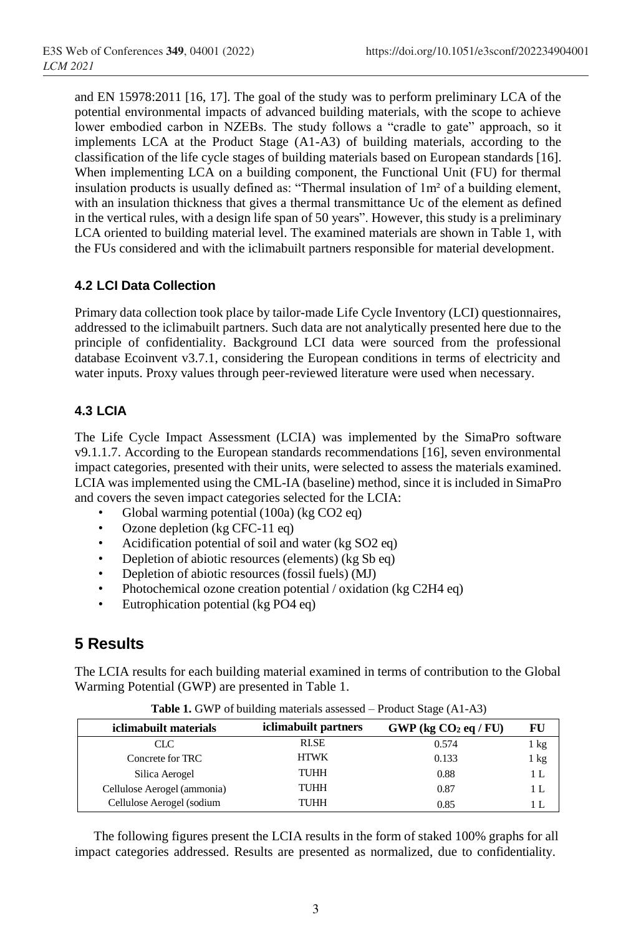and EN 15978:2011 [16, 17]. The goal of the study was to perform preliminary LCA of the potential environmental impacts of advanced building materials, with the scope to achieve lower embodied carbon in NZEBs. The study follows a "cradle to gate" approach, so it implements LCA at the Product Stage (A1-A3) of building materials, according to the classification of the life cycle stages of building materials based on European standards [16]. When implementing LCA on a building component, the Functional Unit (FU) for thermal insulation products is usually defined as: "Thermal insulation of 1m² of a building element, with an insulation thickness that gives a thermal transmittance Uc of the element as defined in the vertical rules, with a design life span of 50 years". However, this study is a preliminary LCA oriented to building material level. The examined materials are shown in Table 1, with the FUs considered and with the iclimabuilt partners responsible for material development.

#### **4.2 LCI Data Collection**

Primary data collection took place by tailor-made Life Cycle Inventory (LCI) questionnaires, addressed to the iclimabuilt partners. Such data are not analytically presented here due to the principle of confidentiality. Background LCI data were sourced from the professional database Ecoinvent v3.7.1, considering the European conditions in terms of electricity and water inputs. Proxy values through peer-reviewed literature were used when necessary.

#### **4.3 LCIA**

The Life Cycle Impact Assessment (LCIA) was implemented by the SimaPro software v9.1.1.7. According to the European standards recommendations [16], seven environmental impact categories, presented with their units, were selected to assess the materials examined. LCIA was implemented using the CML-IA (baseline) method, since it is included in SimaPro and covers the seven impact categories selected for the LCIA:

- Global warming potential (100a) (kg CO2 eq)
- Ozone depletion (kg CFC-11 eq)
- Acidification potential of soil and water (kg SO2 eq)
- Depletion of abiotic resources (elements) (kg Sb eq)
- Depletion of abiotic resources (fossil fuels) (MJ)
- Photochemical ozone creation potential / oxidation (kg C2H4 eq)
- Eutrophication potential (kg PO4 eq)

# **5 Results**

The LCIA results for each building material examined in terms of contribution to the Global Warming Potential (GWP) are presented in Table 1.

| iclimabuilt materials       | iclimabuilt partners | $GWP$ (kg $CO2$ eq / FU) |      |
|-----------------------------|----------------------|--------------------------|------|
| CLC.                        | RI.SE                | 0.574                    | 1 kg |
| Concrete for TRC            | <b>HTWK</b>          | 0.133                    | 1 kg |
| Silica Aerogel              | TUHH                 | 0.88                     | 1 L  |
| Cellulose Aerogel (ammonia) | TUHH                 | 0.87                     | 1 L  |
| Cellulose Aerogel (sodium   | TUHH                 | 0.85                     |      |

**Table 1.** GWP of building materials assessed – Product Stage (A1-A3)

The following figures present the LCIA results in the form of staked 100% graphs for all impact categories addressed. Results are presented as normalized, due to confidentiality.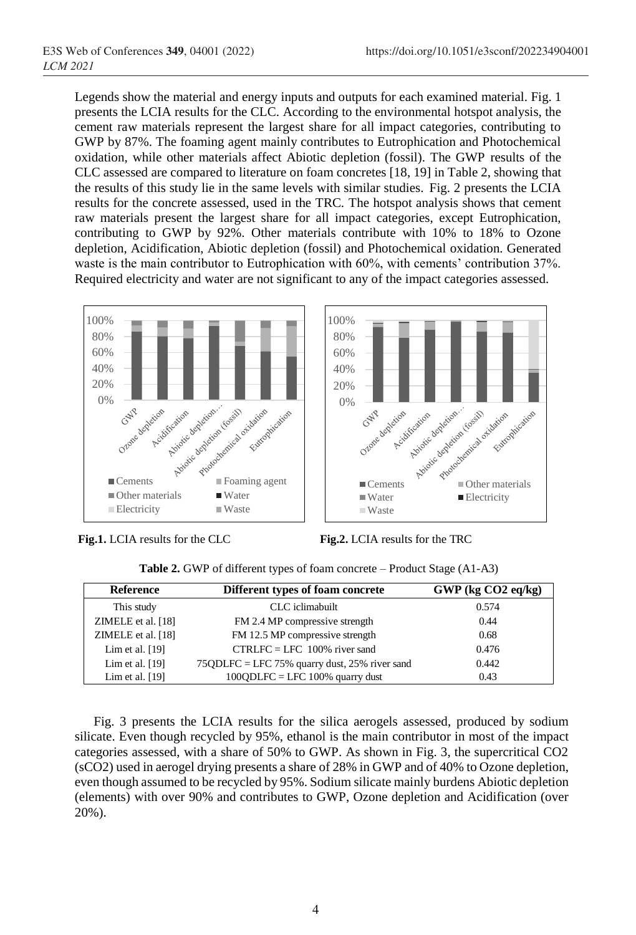Legends show the material and energy inputs and outputs for each examined material. Fig. 1 presents the LCIA results for the CLC. According to the environmental hotspot analysis, the cement raw materials represent the largest share for all impact categories, contributing to GWP by 87%. The foaming agent mainly contributes to Eutrophication and Photochemical oxidation, while other materials affect Abiotic depletion (fossil). The GWP results of the CLC assessed are compared to literature on foam concretes [18, 19] in Table 2, showing that the results of this study lie in the same levels with similar studies. Fig. 2 presents the LCIA results for the concrete assessed, used in the TRC. The hotspot analysis shows that cement raw materials present the largest share for all impact categories, except Eutrophication, contributing to GWP by 92%. Other materials contribute with 10% to 18% to Ozone depletion, Acidification, Abiotic depletion (fossil) and Photochemical oxidation. Generated waste is the main contributor to Eutrophication with 60%, with cements' contribution 37%. Required electricity and water are not significant to any of the impact categories assessed.





Waste

Crane depetion

Cements Production Cements Production of the Cements

Elation pricetic

Nortication deploiter

Aciditication

■ Water ■ Electricity

|  |  | Table 2. GWP of different types of foam concrete - Product Stage (A1-A3) |  |  |
|--|--|--------------------------------------------------------------------------|--|--|
|  |  |                                                                          |  |  |

0% 20% 40% 60% 80% 100%

| <b>Reference</b>   | Different types of foam concrete                | $GWP$ (kg $CO2$ eq/kg) |  |
|--------------------|-------------------------------------------------|------------------------|--|
| This study         | CLC iclimabuilt                                 | 0.574                  |  |
| ZIMELE et al. [18] | FM 2.4 MP compressive strength                  | 0.44                   |  |
| ZIMELE et al. [18] | FM 12.5 MP compressive strength                 | 0.68                   |  |
| Lim et al. $[19]$  | $CTRLFC = LFC 100\%$ river sand                 | 0.476                  |  |
| Lim et al. $[19]$  | $75QDLFC = LFC 75%$ quarry dust, 25% river sand | 0.442                  |  |
| Lim et al. $[19]$  | $100QDLFC = LFC 100%$ quarry dust               | 0.43                   |  |

Fig. 3 presents the LCIA results for the silica aerogels assessed, produced by sodium silicate. Even though recycled by 95%, ethanol is the main contributor in most of the impact categories assessed, with a share of 50% to GWP. As shown in Fig. 3, the supercritical CO2 (sCO2) used in aerogel drying presents a share of 28% in GWP and of 40% to Ozone depletion, even though assumed to be recycled by 95%. Sodium silicate mainly burdens Abiotic depletion (elements) with over 90% and contributes to GWP, Ozone depletion and Acidification (over 20%).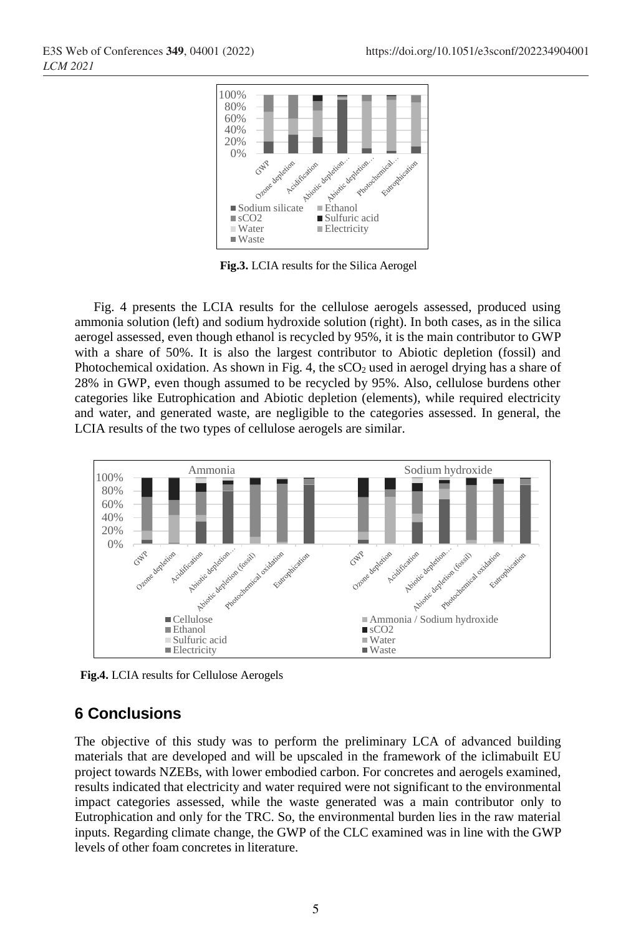

**Fig.3.** LCIA results for the Silica Aerogel

Fig. 4 presents the LCIA results for the cellulose aerogels assessed, produced using ammonia solution (left) and sodium hydroxide solution (right). In both cases, as in the silica aerogel assessed, even though ethanol is recycled by 95%, it is the main contributor to GWP with a share of 50%. It is also the largest contributor to Abiotic depletion (fossil) and Photochemical oxidation. As shown in Fig. 4, the  $\rm sCO_2$  used in aerogel drying has a share of 28% in GWP, even though assumed to be recycled by 95%. Also, cellulose burdens other categories like Eutrophication and Abiotic depletion (elements), while required electricity and water, and generated waste, are negligible to the categories assessed. In general, the LCIA results of the two types of cellulose aerogels are similar.



 **Fig.4.** LCIA results for Cellulose Aerogels

# **6 Conclusions**

The objective of this study was to perform the preliminary LCA of advanced building materials that are developed and will be upscaled in the framework of the iclimabuilt EU project towards NZEBs, with lower embodied carbon. For concretes and aerogels examined, results indicated that electricity and water required were not significant to the environmental impact categories assessed, while the waste generated was a main contributor only to Eutrophication and only for the TRC. So, the environmental burden lies in the raw material inputs. Regarding climate change, the GWP of the CLC examined was in line with the GWP levels of other foam concretes in literature.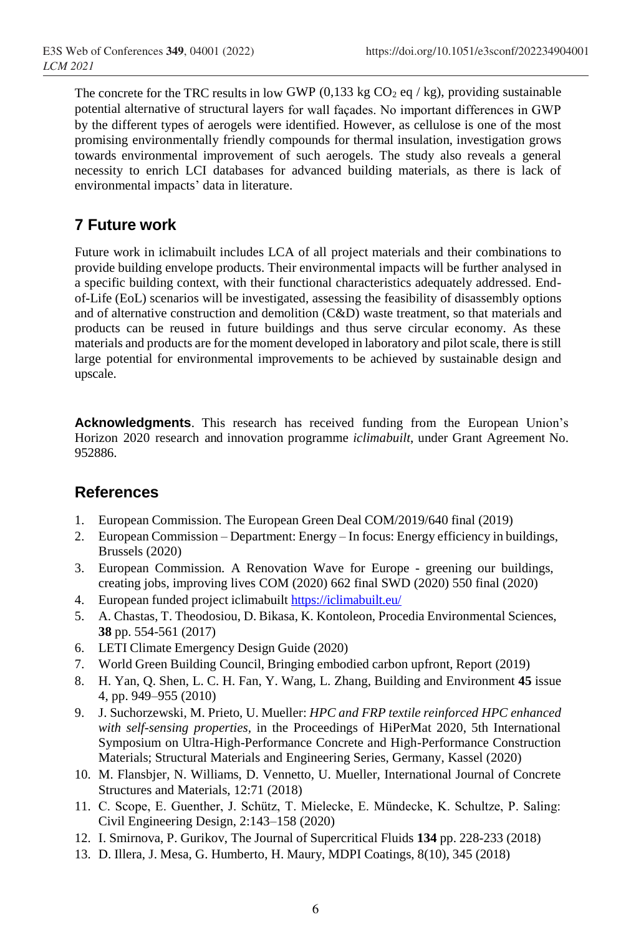The concrete for the TRC results in low GWP (0,133 kg  $CO<sub>2</sub>$  eq / kg), providing sustainable potential alternative of structural layers for wall façades. No important differences in GWP by the different types of aerogels were identified. However, as cellulose is one of the most promising environmentally friendly compounds for thermal insulation, investigation grows towards environmental improvement of such aerogels. The study also reveals a general necessity to enrich LCI databases for advanced building materials, as there is lack of environmental impacts' data in literature.

# **7 Future work**

Future work in iclimabuilt includes LCA of all project materials and their combinations to provide building envelope products. Their environmental impacts will be further analysed in a specific building context, with their functional characteristics adequately addressed. Endof-Life (EoL) scenarios will be investigated, assessing the feasibility of disassembly options and of alternative construction and demolition (C&D) waste treatment, so that materials and products can be reused in future buildings and thus serve circular economy. As these materials and products are for the moment developed in laboratory and pilotscale, there isstill large potential for environmental improvements to be achieved by sustainable design and upscale.

**Acknowledgments**. This research has received funding from the European Union's Horizon 2020 research and innovation programme *iclimabuilt*, under Grant Agreement No. 952886.

# **References**

- 1. European Commission. The European Green Deal COM/2019/640 final (2019)
- 2. European Commission Department: Energy In focus: Energy efficiency in buildings, Brussels (2020)
- 3. European Commission. A Renovation Wave for Europe greening our buildings, creating jobs, improving lives COM (2020) 662 final SWD (2020) 550 final (2020)
- 4. European funded project iclimabuilt <https://iclimabuilt.eu/>
- 5. A. Chastas, T. Theodosiou, D. Bikasa, K. Kontoleon, Procedia Environmental Sciences, **38** pp. 554-561 (2017)
- 6. LETI Climate Emergency Design Guide (2020)
- 7. World Green Building Council, Bringing embodied carbon upfront, Report (2019)
- 8. H. Yan, Q. Shen, L. C. H. Fan, Y. Wang, L. Zhang, Building and Environment **45** issue 4, pp. 949–955 (2010)
- 9. J. Suchorzewski, M. Prieto, U. Mueller: *HPC and FRP textile reinforced HPC enhanced with self-sensing properties,* in the Proceedings of HiPerMat 2020, 5th International Symposium on Ultra-High-Performance Concrete and High-Performance Construction Materials; Structural Materials and Engineering Series, Germany, Kassel (2020)
- 10. M. Flansbjer, N. Williams, D. Vennetto, U. Mueller, International Journal of Concrete Structures and Materials, 12:71 (2018)
- 11. C. Scope, E. Guenther, J. Schütz, T. Mielecke, E. Mündecke, K. Schultze, P. Saling: Civil Engineering Design, 2:143–158 (2020)
- 12. I. Smirnova, P. Gurikov, The Journal of Supercritical Fluids **134** pp. 228-233 (2018)
- 13. D. Illera, J. Mesa, G. Humberto, H. Maury, MDPI Coatings, 8(10), 345 (2018)